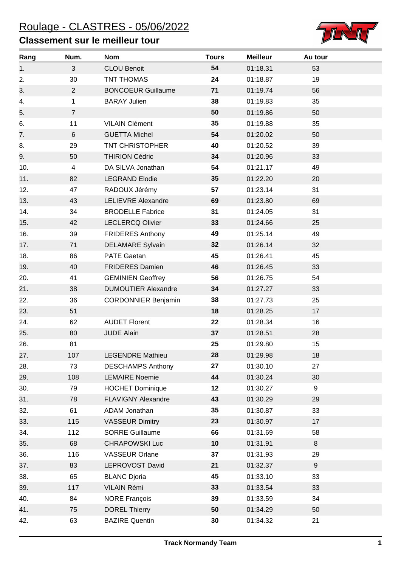## Roulage - CLASTRES - 05/06/2022

## **Classement sur le meilleur tour**



| Rang | Num.                    | <b>Nom</b>                 | <b>Tours</b> | <b>Meilleur</b> | Au tour |
|------|-------------------------|----------------------------|--------------|-----------------|---------|
| 1.   | 3                       | <b>CLOU Benoit</b>         | 54           | 01:18.31        | 53      |
| 2.   | 30                      | <b>TNT THOMAS</b>          | 24           | 01:18.87        | 19      |
| 3.   | $\overline{2}$          | <b>BONCOEUR Guillaume</b>  | 71           | 01:19.74        | 56      |
| 4.   | 1                       | <b>BARAY Julien</b>        | 38           | 01:19.83        | 35      |
| 5.   | $\overline{7}$          |                            | 50           | 01:19.86        | 50      |
| 6.   | 11                      | <b>VILAIN Clément</b>      | 35           | 01:19.88        | 35      |
| 7.   | 6                       | <b>GUETTA Michel</b>       | 54           | 01:20.02        | 50      |
| 8.   | 29                      | <b>TNT CHRISTOPHER</b>     | 40           | 01:20.52        | 39      |
| 9.   | 50                      | <b>THIRION Cédric</b>      | 34           | 01:20.96        | 33      |
| 10.  | $\overline{\mathbf{4}}$ | DA SILVA Jonathan          | 54           | 01:21.17        | 49      |
| 11.  | 82                      | <b>LEGRAND Elodie</b>      | 35           | 01:22.20        | 20      |
| 12.  | 47                      | RADOUX Jérémy              | 57           | 01:23.14        | 31      |
| 13.  | 43                      | <b>LELIEVRE Alexandre</b>  | 69           | 01:23.80        | 69      |
| 14.  | 34                      | <b>BRODELLE Fabrice</b>    | 31           | 01:24.05        | 31      |
| 15.  | 42                      | <b>LECLERCQ Olivier</b>    | 33           | 01:24.66        | 25      |
| 16.  | 39                      | <b>FRIDERES Anthony</b>    | 49           | 01:25.14        | 49      |
| 17.  | 71                      | <b>DELAMARE Sylvain</b>    | 32           | 01:26.14        | 32      |
| 18.  | 86                      | <b>PATE Gaetan</b>         | 45           | 01:26.41        | 45      |
| 19.  | 40                      | <b>FRIDERES Damien</b>     | 46           | 01:26.45        | 33      |
| 20.  | 41                      | <b>GEMINIEN Geoffrey</b>   | 56           | 01:26.75        | 54      |
| 21.  | 38                      | <b>DUMOUTIER Alexandre</b> | 34           | 01:27.27        | 33      |
| 22.  | 36                      | <b>CORDONNIER Benjamin</b> | 38           | 01:27.73        | 25      |
| 23.  | 51                      |                            | 18           | 01:28.25        | 17      |
| 24.  | 62                      | <b>AUDET Florent</b>       | 22           | 01:28.34        | 16      |
| 25.  | 80                      | <b>JUDE Alain</b>          | 37           | 01:28.51        | 28      |
| 26.  | 81                      |                            | 25           | 01:29.80        | 15      |
| 27.  | 107                     | <b>LEGENDRE Mathieu</b>    | 28           | 01:29.98        | 18      |
| 28.  | 73                      | <b>DESCHAMPS Anthony</b>   | 27           | 01:30.10        | 27      |
| 29.  | 108                     | <b>LEMAIRE Noemie</b>      | 44           | 01:30.24        | 30      |
| 30.  | 79                      | <b>HOCHET Dominique</b>    | 12           | 01:30.27        | 9       |
| 31.  | 78                      | FLAVIGNY Alexandre         | 43           | 01:30.29        | 29      |
| 32.  | 61                      | ADAM Jonathan              | 35           | 01:30.87        | 33      |
| 33.  | 115                     | <b>VASSEUR Dimitry</b>     | 23           | 01:30.97        | 17      |
| 34.  | 112                     | <b>SORRE Guillaume</b>     | 66           | 01:31.69        | 58      |
| 35.  | 68                      | <b>CHRAPOWSKI Luc</b>      | 10           | 01:31.91        | 8       |
| 36.  | 116                     | <b>VASSEUR Orlane</b>      | 37           | 01:31.93        | 29      |
| 37.  | 83                      | LEPROVOST David            | 21           | 01:32.37        | $9\,$   |
| 38.  | 65                      | <b>BLANC Djoria</b>        | 45           | 01:33.10        | 33      |
| 39.  | 117                     | VILAIN Rémi                | 33           | 01:33.54        | 33      |
| 40.  | 84                      | <b>NORE François</b>       | 39           | 01:33.59        | 34      |
| 41.  | 75                      | <b>DOREL Thierry</b>       | 50           | 01:34.29        | 50      |
| 42.  | 63                      | <b>BAZIRE Quentin</b>      | 30           | 01:34.32        | 21      |